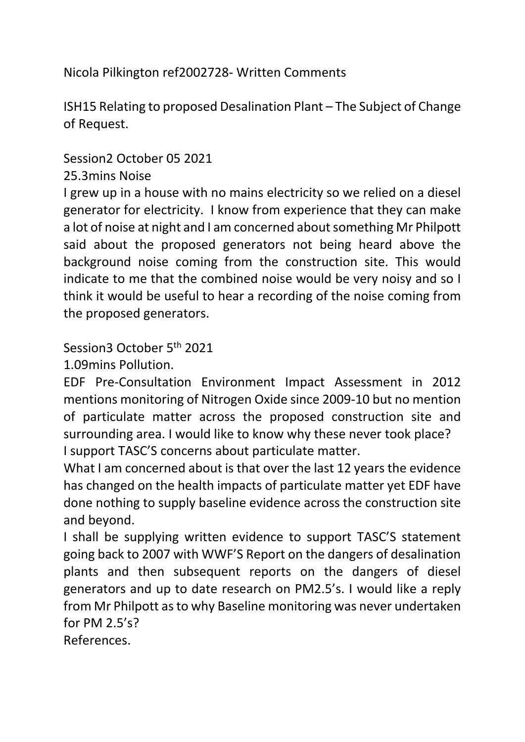Nicola Pilkington ref2002728- Written Comments

ISH15 Relating to proposed Desalination Plant – The Subject of Change of Request.

Session2 October 05 2021

## 25.3mins Noise

I grew up in a house with no mains electricity so we relied on a diesel generator for electricity. I know from experience that they can make a lot of noise at night and I am concerned about something Mr Philpott said about the proposed generators not being heard above the background noise coming from the construction site. This would indicate to me that the combined noise would be very noisy and so I think it would be useful to hear a recording of the noise coming from the proposed generators.

Session3 October 5th 2021

1.09mins Pollution.

EDF Pre-Consultation Environment Impact Assessment in 2012 mentions monitoring of Nitrogen Oxide since 2009-10 but no mention of particulate matter across the proposed construction site and surrounding area. I would like to know why these never took place? I support TASC'S concerns about particulate matter.

What I am concerned about is that over the last 12 years the evidence has changed on the health impacts of particulate matter yet EDF have done nothing to supply baseline evidence across the construction site and beyond.

I shall be supplying written evidence to support TASC'S statement going back to 2007 with WWF'S Report on the dangers of desalination plants and then subsequent reports on the dangers of diesel generators and up to date research on PM2.5's. I would like a reply from Mr Philpott as to why Baseline monitoring was never undertaken for PM 2.5's?

References.